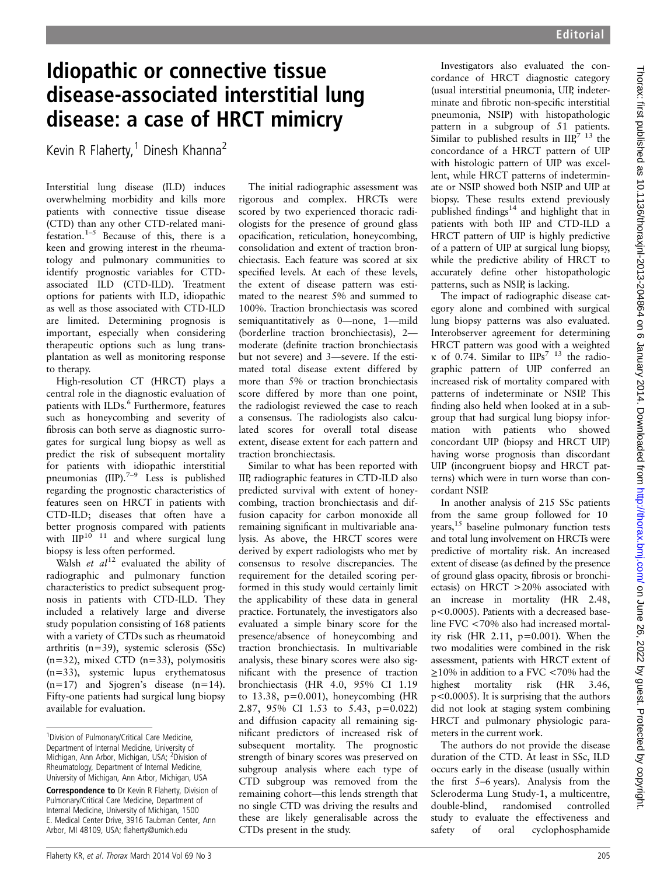## Idiopathic or connective tissue disease-associated interstitial lung disease: a case of HRCT mimicry

Kevin R Flaherty,<sup>1</sup> Dinesh Khanna<sup>2</sup>

Interstitial lung disease (ILD) induces overwhelming morbidity and kills more patients with connective tissue disease (CTD) than any other CTD-related manifestation.<sup>1–5</sup> Because of this, there is a keen and growing interest in the rheumatology and pulmonary communities to identify prognostic variables for CTDassociated ILD (CTD-ILD). Treatment options for patients with ILD, idiopathic as well as those associated with CTD-ILD are limited. Determining prognosis is important, especially when considering therapeutic options such as lung transplantation as well as monitoring response to therapy.

High-resolution CT (HRCT) plays a central role in the diagnostic evaluation of patients with ILDs.<sup>6</sup> Furthermore, features such as honeycombing and severity of fibrosis can both serve as diagnostic surrogates for surgical lung biopsy as well as predict the risk of subsequent mortality for patients with idiopathic interstitial pneumonias  $(IIP).^{7-9}$  Less is published regarding the prognostic characteristics of features seen on HRCT in patients with CTD-ILD; diseases that often have a better prognosis compared with patients with  $\prod_{i=1}^{n} P^{10}$  11 and where surgical lung biopsy is less often performed.

Walsh et  $al^{12}$  evaluated the ability of radiographic and pulmonary function characteristics to predict subsequent prognosis in patients with CTD-ILD. They included a relatively large and diverse study population consisting of 168 patients with a variety of CTDs such as rheumatoid arthritis (n=39), systemic sclerosis (SSc)  $(n=32)$ , mixed CTD  $(n=33)$ , polymositis (n=33), systemic lupus erythematosus  $(n=17)$  and Sjogren's disease  $(n=14)$ . Fifty-one patients had surgical lung biopsy available for evaluation.

The initial radiographic assessment was rigorous and complex. HRCTs were scored by two experienced thoracic radiologists for the presence of ground glass opacification, reticulation, honeycombing, consolidation and extent of traction bronchiectasis. Each feature was scored at six specified levels. At each of these levels, the extent of disease pattern was estimated to the nearest 5% and summed to 100%. Traction bronchiectasis was scored semiquantitatively as 0—none, 1—mild (borderline traction bronchiectasis), 2 moderate (definite traction bronchiectasis but not severe) and 3—severe. If the estimated total disease extent differed by more than 5% or traction bronchiectasis score differed by more than one point, the radiologist reviewed the case to reach a consensus. The radiologists also calculated scores for overall total disease extent, disease extent for each pattern and traction bronchiectasis.

Similar to what has been reported with IIP, radiographic features in CTD-ILD also predicted survival with extent of honeycombing, traction bronchiectasis and diffusion capacity for carbon monoxide all remaining significant in multivariable analysis. As above, the HRCT scores were derived by expert radiologists who met by consensus to resolve discrepancies. The requirement for the detailed scoring performed in this study would certainly limit the applicability of these data in general practice. Fortunately, the investigators also evaluated a simple binary score for the presence/absence of honeycombing and traction bronchiectasis. In multivariable analysis, these binary scores were also significant with the presence of traction bronchiectasis (HR 4.0, 95% CI 1.19 to  $13.38$ ,  $p=0.001$ ), honeycombing (HR 2.87, 95% CI 1.53 to 5.43, p=0.022) and diffusion capacity all remaining significant predictors of increased risk of subsequent mortality. The prognostic strength of binary scores was preserved on subgroup analysis where each type of CTD subgroup was removed from the remaining cohort—this lends strength that no single CTD was driving the results and these are likely generalisable across the CTDs present in the study.

Investigators also evaluated the concordance of HRCT diagnostic category (usual interstitial pneumonia, UIP, indeterminate and fibrotic non-specific interstitial pneumonia, NSIP) with histopathologic pattern in a subgroup of 51 patients. Similar to published results in  $\text{IIP}^{7}$  <sup>13</sup> the concordance of a HRCT pattern of UIP with histologic pattern of UIP was excellent, while HRCT patterns of indeterminate or NSIP showed both NSIP and UIP at biopsy. These results extend previously published findings<sup>14</sup> and highlight that in patients with both IIP and CTD-ILD a HRCT pattern of UIP is highly predictive of a pattern of UIP at surgical lung biopsy, while the predictive ability of HRCT to accurately define other histopathologic patterns, such as NSIP, is lacking.

The impact of radiographic disease category alone and combined with surgical lung biopsy patterns was also evaluated. Interobserver agreement for determining HRCT pattern was good with a weighted κ of 0.74. Similar to  $IIPs<sup>7</sup>$ <sup>13</sup> the radiographic pattern of UIP conferred an increased risk of mortality compared with patterns of indeterminate or NSIP. This finding also held when looked at in a subgroup that had surgical lung biopsy information with patients who showed concordant UIP (biopsy and HRCT UIP) having worse prognosis than discordant UIP (incongruent biopsy and HRCT patterns) which were in turn worse than concordant NSIP.

In another analysis of 215 SSc patients from the same group followed for 10 years,<sup>15</sup> baseline pulmonary function tests and total lung involvement on HRCTs were predictive of mortality risk. An increased extent of disease (as defined by the presence of ground glass opacity, fibrosis or bronchiectasis) on HRCT >20% associated with an increase in mortality (HR 2.48, p<0.0005). Patients with a decreased baseline FVC <70% also had increased mortality risk (HR 2.11,  $p=0.001$ ). When the two modalities were combined in the risk assessment, patients with HRCT extent of ≥10% in addition to a FVC <70% had the highest mortality risk (HR 3.46, p<0.0005). It is surprising that the authors did not look at staging system combining HRCT and pulmonary physiologic parameters in the current work.

The authors do not provide the disease duration of the CTD. At least in SSc, ILD occurs early in the disease (usually within the first 5–6 years). Analysis from the Scleroderma Lung Study-1, a multicentre, double-blind, randomised controlled study to evaluate the effectiveness and safety of oral cyclophosphamide

<sup>&</sup>lt;sup>1</sup> Division of Pulmonary/Critical Care Medicine, Department of Internal Medicine, University of Michigan, Ann Arbor, Michigan, USA; <sup>2</sup>Division of Rheumatology, Department of Internal Medicine, University of Michigan, Ann Arbor, Michigan, USA

Correspondence to Dr Kevin R Flaherty, Division of Pulmonary/Critical Care Medicine, Department of Internal Medicine, University of Michigan, 1500 E. Medical Center Drive, 3916 Taubman Center, Ann Arbor, MI 48109, USA; flaherty@umich.edu